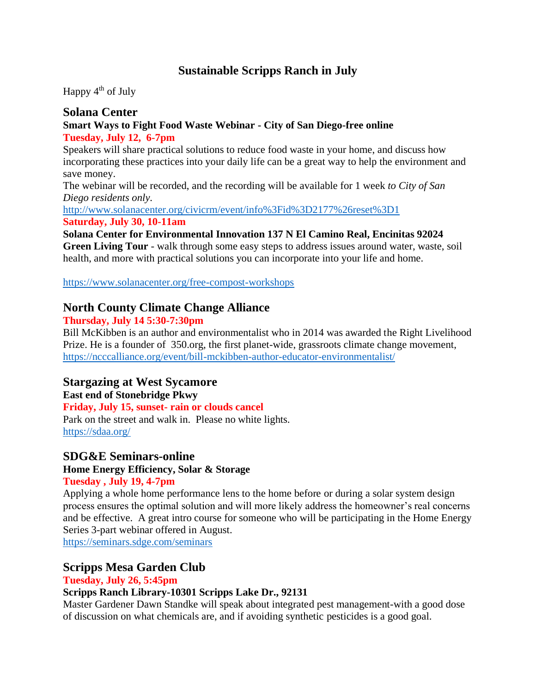# **Sustainable Scripps Ranch in July**

Happy  $4<sup>th</sup>$  of July

#### **Solana Center Smart Ways to Fight Food Waste Webinar - City of San Diego-free online Tuesday, July 12, 6-7pm**

Speakers will share practical solutions to reduce food waste in your home, and discuss how incorporating these practices into your daily life can be a great way to help the environment and save money.

The webinar will be recorded, and the recording will be available for 1 week *to City of San Diego residents only.*

<http://www.solanacenter.org/civicrm/event/info%3Fid%3D2177%26reset%3D1> **Saturday, July 30, 10-11am** 

#### **Solana Center for Environmental Innovation 137 N El Camino Real, Encinitas 92024**

**Green Living Tour** - walk through some easy steps to address issues around water, waste, soil health, and more with practical solutions you can incorporate into your life and home.

<https://www.solanacenter.org/free-compost-workshops>

# **North County Climate Change Alliance**

#### **Thursday, July 14 5:30-7:30pm**

Bill McKibben is an author and environmentalist who in 2014 was awarded the Right Livelihood Prize. He is a founder of 350.org, the first planet-wide, grassroots climate change movement, <https://ncccalliance.org/event/bill-mckibben-author-educator-environmentalist/>

### **Stargazing at West Sycamore**

#### **East end of Stonebridge Pkwy**

**Friday, July 15, sunset- rain or clouds cancel** Park on the street and walk in. Please no white lights. [https://sdaa.org/](https://sdaa.org/sdaa-public-events-calendar/)

### **SDG&E Seminars-online**

#### **Home Energy Efficiency, Solar & Storage**

#### **Tuesday , July 19, 4-7pm**

Applying a whole home performance lens to the home before or during a solar system design process ensures the optimal solution and will more likely address the homeowner's real concerns and be effective. A great intro course for someone who will be participating in the Home Energy Series 3-part webinar offered in August.

<https://seminars.sdge.com/seminars>

# **Scripps Mesa Garden Club**

#### **Tuesday, July 26, 5:45pm**

### **Scripps Ranch Library-10301 Scripps Lake Dr., 92131**

Master Gardener Dawn Standke will speak about integrated pest management-with a good dose of discussion on what chemicals are, and if avoiding synthetic pesticides is a good goal.